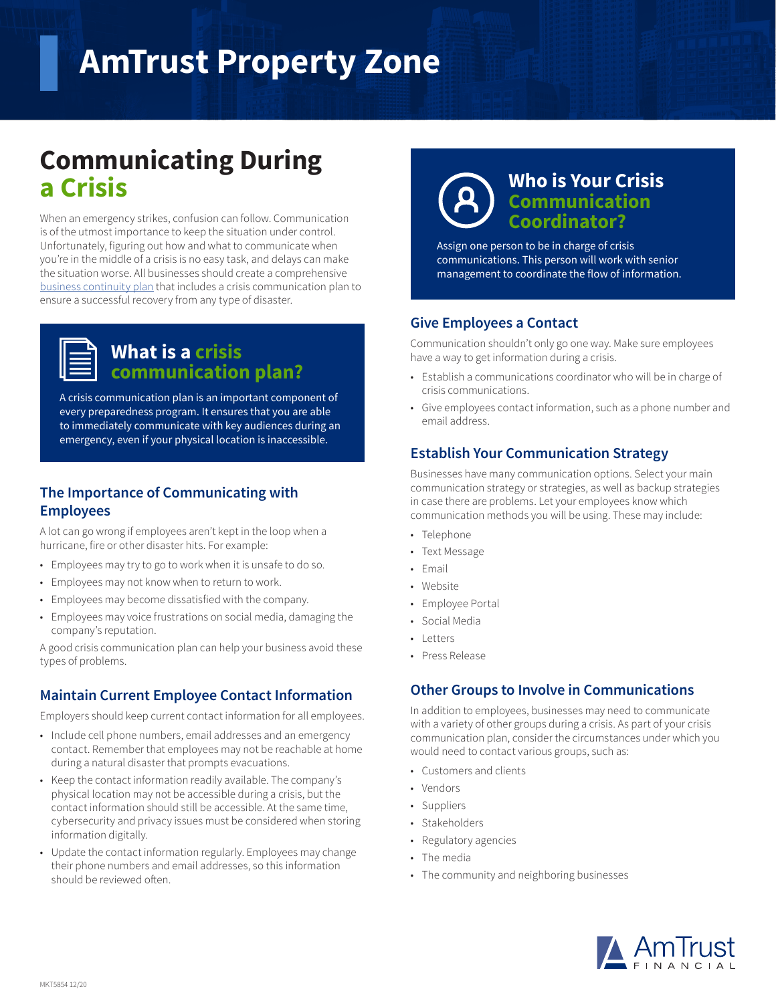# **AmTrust Property Zone**

# **Communicating During a Crisis**

When an emergency strikes, confusion can follow. Communication is of the utmost importance to keep the situation under control. Unfortunately, figuring out how and what to communicate when you're in the middle of a crisis is no easy task, and delays can make the situation worse. All businesses should create a comprehensive [business continuity plan](https://amtrustfinancial.com/blog/small-business/business-continuity-planning-small-businesses) that includes a crisis communication plan to ensure a successful recovery from any type of disaster.

### **What is a crisis communication plan?**

A crisis communication plan is an important component of every preparedness program. It ensures that you are able to immediately communicate with key audiences during an emergency, even if your physical location is inaccessible.

#### **The Importance of Communicating with Employees**

A lot can go wrong if employees aren't kept in the loop when a hurricane, fire or other disaster hits. For example:

- Employees may try to go to work when it is unsafe to do so.
- Employees may not know when to return to work.
- Employees may become dissatisfied with the company.
- Employees may voice frustrations on social media, damaging the company's reputation.

A good crisis communication plan can help your business avoid these types of problems.

#### **Maintain Current Employee Contact Information**

Employers should keep current contact information for all employees.

- Include cell phone numbers, email addresses and an emergency contact. Remember that employees may not be reachable at home during a natural disaster that prompts evacuations.
- Keep the contact information readily available. The company's physical location may not be accessible during a crisis, but the contact information should still be accessible. At the same time, cybersecurity and privacy issues must be considered when storing information digitally.
- Update the contact information regularly. Employees may change their phone numbers and email addresses, so this information should be reviewed often.



## **Who is Your Crisis Communication Coordinator?**

Assign one person to be in charge of crisis communications. This person will work with senior management to coordinate the flow of information.

#### **Give Employees a Contact**

Communication shouldn't only go one way. Make sure employees have a way to get information during a crisis.

- Establish a communications coordinator who will be in charge of crisis communications.
- Give employees contact information, such as a phone number and email address.

#### **Establish Your Communication Strategy**

Businesses have many communication options. Select your main communication strategy or strategies, as well as backup strategies in case there are problems. Let your employees know which communication methods you will be using. These may include:

- Telephone
- Text Message
- Email
- Website
- Employee Portal
- Social Media
- Letters
- Press Release

#### **Other Groups to Involve in Communications**

In addition to employees, businesses may need to communicate with a variety of other groups during a crisis. As part of your crisis communication plan, consider the circumstances under which you would need to contact various groups, such as:

- Customers and clients
- Vendors
- Suppliers
- Stakeholders
- Regulatory agencies
- The media
- The community and neighboring businesses